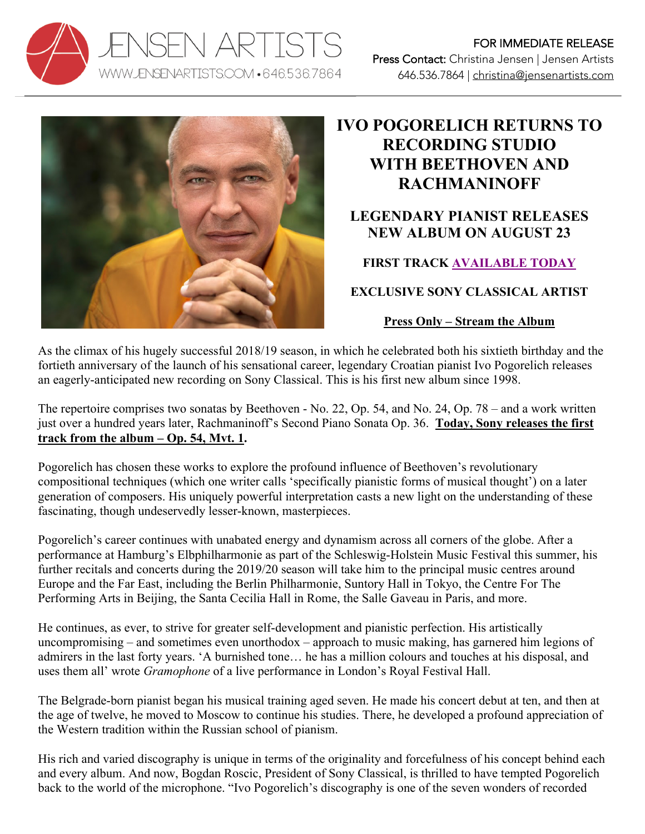



## **IVO POGORELICH RETURNS TO RECORDING STUDIO WITH BEETHOVEN AND RACHMANINOFF**

## **LEGENDARY PIANIST RELEASES NEW ALBUM ON AUGUST 23**

## **FIRST TRACK AVAILABLE TODAY**

**EXCLUSIVE SONY CLASSICAL ARTIST**

## **Press Only – Stream the Album**

As the climax of his hugely successful 2018/19 season, in which he celebrated both his sixtieth birthday and the fortieth anniversary of the launch of his sensational career, legendary Croatian pianist Ivo Pogorelich releases an eagerly-anticipated new recording on Sony Classical. This is his first new album since 1998.

The repertoire comprises two sonatas by Beethoven - No. 22, Op. 54, and No. 24, Op. 78 – and a work written just over a hundred years later, Rachmaninoff's Second Piano Sonata Op. 36. **Today, Sony releases the first track from the album – Op. 54, Mvt. 1.**

Pogorelich has chosen these works to explore the profound influence of Beethoven's revolutionary compositional techniques (which one writer calls 'specifically pianistic forms of musical thought') on a later generation of composers. His uniquely powerful interpretation casts a new light on the understanding of these fascinating, though undeservedly lesser-known, masterpieces.

Pogorelich's career continues with unabated energy and dynamism across all corners of the globe. After a performance at Hamburg's Elbphilharmonie as part of the Schleswig-Holstein Music Festival this summer, his further recitals and concerts during the 2019/20 season will take him to the principal music centres around Europe and the Far East, including the Berlin Philharmonie, Suntory Hall in Tokyo, the Centre For The Performing Arts in Beijing, the Santa Cecilia Hall in Rome, the Salle Gaveau in Paris, and more.

He continues, as ever, to strive for greater self-development and pianistic perfection. His artistically uncompromising – and sometimes even unorthodox – approach to music making, has garnered him legions of admirers in the last forty years. 'A burnished tone… he has a million colours and touches at his disposal, and uses them all' wrote *Gramophone* of a live performance in London's Royal Festival Hall.

The Belgrade-born pianist began his musical training aged seven. He made his concert debut at ten, and then at the age of twelve, he moved to Moscow to continue his studies. There, he developed a profound appreciation of the Western tradition within the Russian school of pianism.

His rich and varied discography is unique in terms of the originality and forcefulness of his concept behind each and every album. And now, Bogdan Roscic, President of Sony Classical, is thrilled to have tempted Pogorelich back to the world of the microphone. "Ivo Pogorelich's discography is one of the seven wonders of recorded